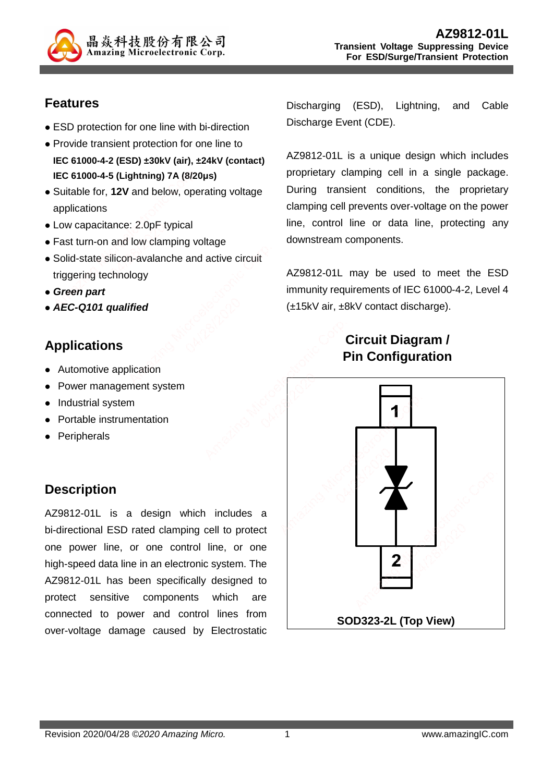

#### **Features**

- ESD protection for one line with bi-direction
- Provide transient protection for one line to
- **IEC 61000-4-2 (ESD) ±30kV (air), ±24kV (contact) IEC 61000-4-5 (Lightning) 7A (8/20μs)**
- Suitable for, **12V** and below, operating voltage applications
- Low capacitance: 2.0pF typical
- Fast turn-on and low clamping voltage
- Solid-state silicon-avalanche and active circuit triggering technology
- **Green part**
- **AEC-Q101 qualified**

# **Applications**

- Automotive application
- Power management system
- Industrial system
- Portable instrumentation
- Peripherals

# **Description**

AZ9812-01L is a design which includes a bi-directional ESD rated clamping cell to protect one power line, or one control line, or one high-speed data line in an electronic system. The AZ9812-01L has been specifically designed to protect sensitive components which are connected to power and control lines from over-voltage damage caused by Electrostatic

Discharging (ESD), Lightning, and Cable Discharge Event (CDE).

AZ9812-01L is a unique design which includes proprietary clamping cell in a single package. During transient conditions, the proprietary clamping cell prevents over-voltage on the power line, control line or data line, protecting any downstream components.

AZ9812-01L may be used to meet the ESD immunity requirements of IEC 61000-4-2, Level 4 (±15kV air, ±8kV contact discharge).

# **Circuit Diagram / Pin Configuration**

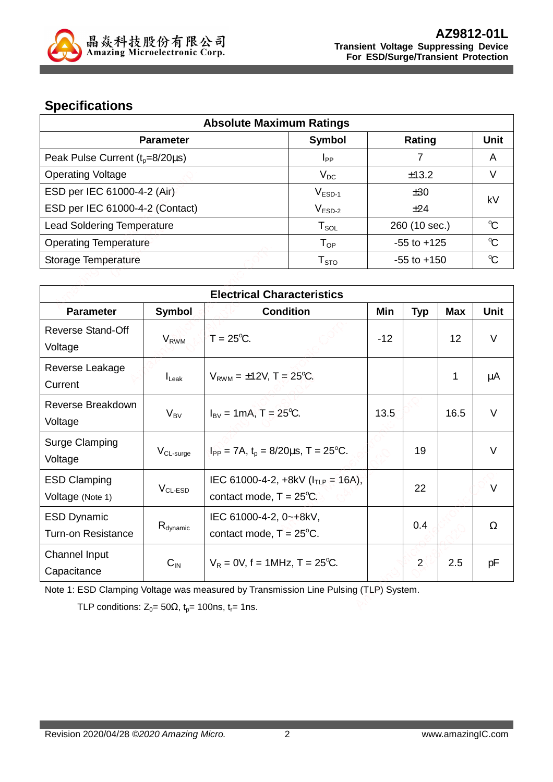

## **Specifications**

| <b>Absolute Maximum Ratings</b>      |                            |                 |              |
|--------------------------------------|----------------------------|-----------------|--------------|
| <b>Parameter</b>                     | Symbol                     | Rating          | <b>Unit</b>  |
| Peak Pulse Current $(t_p=8/20\mu s)$ | <b>I</b> <sub>PP</sub>     |                 | A            |
| <b>Operating Voltage</b>             | $V_{DC}$                   | ±13.2           | V            |
| ESD per IEC 61000-4-2 (Air)          | $V_{ESD-1}$                | ±30             | k٧           |
| ESD per IEC 61000-4-2 (Contact)      | $V_{ESD-2}$                | ±24             |              |
| <b>Lead Soldering Temperature</b>    | ${\sf T}_{\sf SOL}$        | 260 (10 sec.)   | $\mathrm{C}$ |
| <b>Operating Temperature</b>         | $\mathsf{T}_{\mathsf{OP}}$ | $-55$ to $+125$ | $\mathrm{C}$ |
| Storage Temperature                  | ${\sf T}_{\sf STO}$        | $-55$ to $+150$ | $\mathrm{C}$ |

|                                                 |                      | <b>Electrical Characteristics</b>                                              |       |                |            |        |
|-------------------------------------------------|----------------------|--------------------------------------------------------------------------------|-------|----------------|------------|--------|
| <b>Parameter</b>                                | Symbol               | <b>Condition</b>                                                               | Min   | <b>Typ</b>     | <b>Max</b> | Unit   |
| <b>Reverse Stand-Off</b><br>Voltage             | $V_{RWM}$            | $T = 25^{\circ}C$ .                                                            | $-12$ |                | 12         | $\vee$ |
| Reverse Leakage<br>Current                      | $I_{\text{Leak}}$    | $V_{RWM} = \pm 12V$ , T = 25 <sup>o</sup> C.                                   |       |                | 1          | μA     |
| Reverse Breakdown<br>Voltage                    | $V_{BV}$             | $I_{\text{BV}} = 1 \text{mA}, T = 25^{\circ}\text{C}.$                         | 13.5  |                | 16.5       | $\vee$ |
| <b>Surge Clamping</b><br>Voltage                | $V_{CL-surge}$       | $I_{PP}$ = 7A, t <sub>p</sub> = 8/20us, T = 25 <sup>o</sup> C.                 |       | 19             |            | $\vee$ |
| <b>ESD Clamping</b><br>Voltage (Note 1)         | $VCL-ESD$            | IEC 61000-4-2, $+8kV$ ( $I_{TLP}$ = 16A),<br>contact mode, $T = 25^{\circ}C$ . |       | 22             |            | $\vee$ |
| <b>ESD Dynamic</b><br><b>Turn-on Resistance</b> | $R_{\text{dynamic}}$ | IEC 61000-4-2, 0~+8kV,<br>contact mode, $T = 25^{\circ}$ C.                    |       | 0.4            |            | Ω      |
| Channel Input<br>Capacitance                    | $C_{IN}$             | $V_R = 0V$ , f = 1MHz, T = 25 <sup>o</sup> C.                                  |       | $\overline{2}$ | 2.5        | рF     |

Note 1: ESD Clamping Voltage was measured by Transmission Line Pulsing (TLP) System.

TLP conditions:  $Z_0 = 50\Omega$ ,  $t_p = 100$ ns,  $t_r = 1$ ns.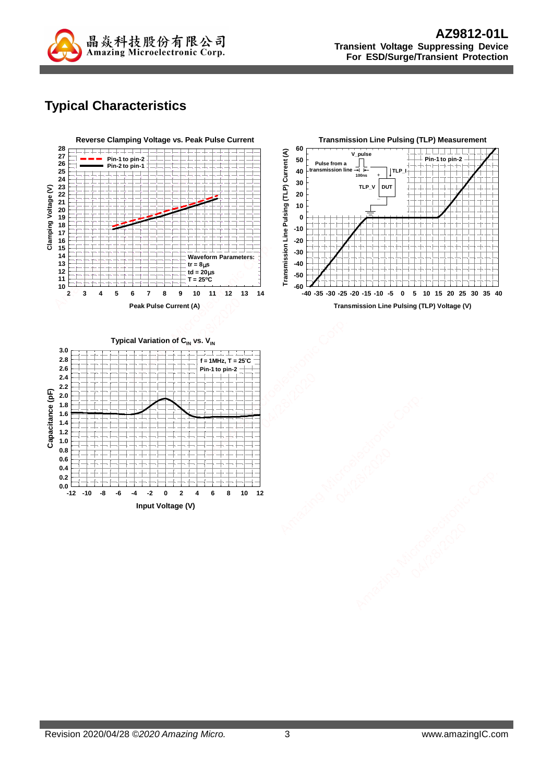

# **Typical Characteristics**

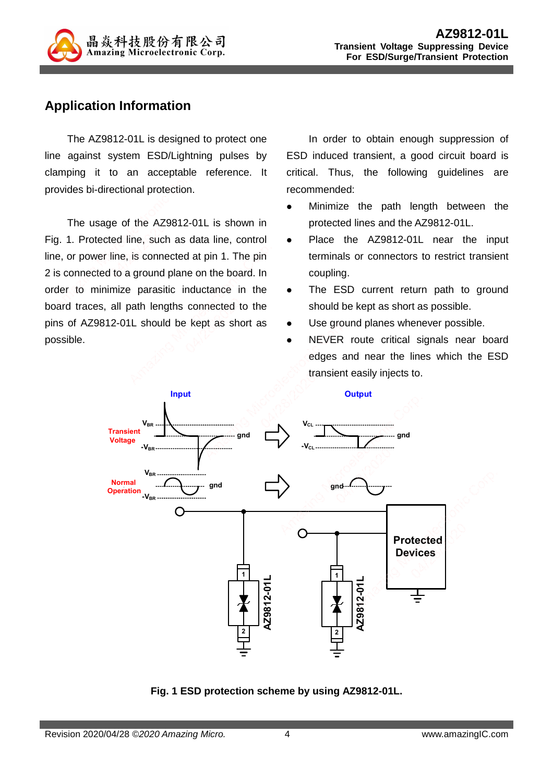

#### **Application Information**

The AZ9812-01L is designed to protect one line against system ESD/Lightning pulses by clamping it to an acceptable reference. It provides bi-directional protection.

The usage of the AZ9812-01L is shown in Fig. 1. Protected line, such as data line, control line, or power line, is connected at pin 1. The pin 2 is connected to a ground plane on the board. In order to minimize parasitic inductance in the board traces, all path lengths connected to the pins of AZ9812-01L should be kept as short as possible.

In order to obtain enough suppression of ESD induced transient, a good circuit board is critical. Thus, the following guidelines are recommended:

- Minimize the path length between the protected lines and the AZ9812-01L.
- Place the AZ9812-01L near the input terminals or connectors to restrict transient coupling.
- The ESD current return path to ground should be kept as short as possible.
- Use ground planes whenever possible.
- NEVER route critical signals near board edges and near the lines which the ESD transient easily injects to.



**Fig. 1 ESD protection scheme by using AZ9812-01L.**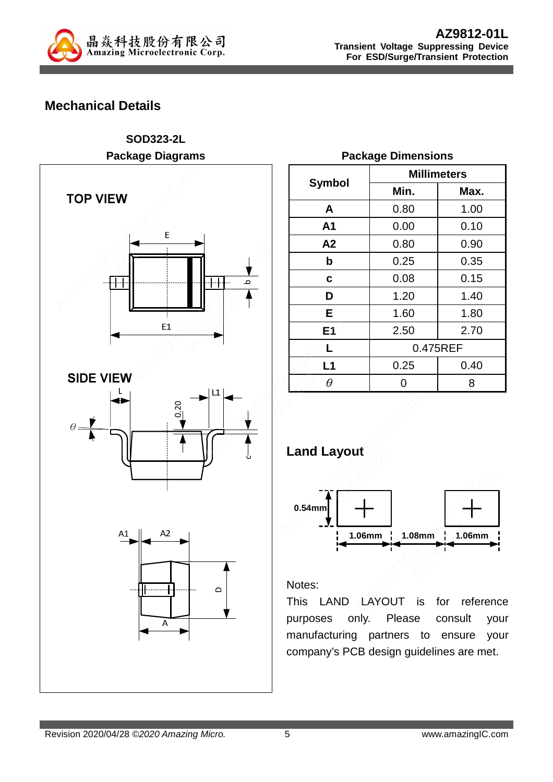

### **Mechanical Details**

**SOD323-2L Package Diagrams TOP VIEW** E -1-1-ء  $E1$ **SIDE VIEW**  $\mathbf{I}$ 0.20  $\theta$ c $A2$  $A1$ . . . . . . . . . . . . . . .  $\bigcap$ A

|                |      | <b>Millimeters</b> |
|----------------|------|--------------------|
| Symbol         | Min. | Max.               |
| A              | 0.80 | 1.00               |
| A <sub>1</sub> | 0.00 | 0.10               |
| A2             | 0.80 | 0.90               |
| b              | 0.25 | 0.35               |
| C              | 0.08 | 0.15               |
| D              | 1.20 | 1.40               |
| Е              | 1.60 | 1.80               |
| E1             | 2.50 | 2.70               |
| L              |      | 0.475REF           |
| L1             | 0.25 | 0.40               |
|                |      | 8                  |

#### **Package Dimensions**





#### Notes:

This LAND LAYOUT is for reference purposes only. Please consult your manufacturing partners to ensure your company's PCB design guidelines are met.